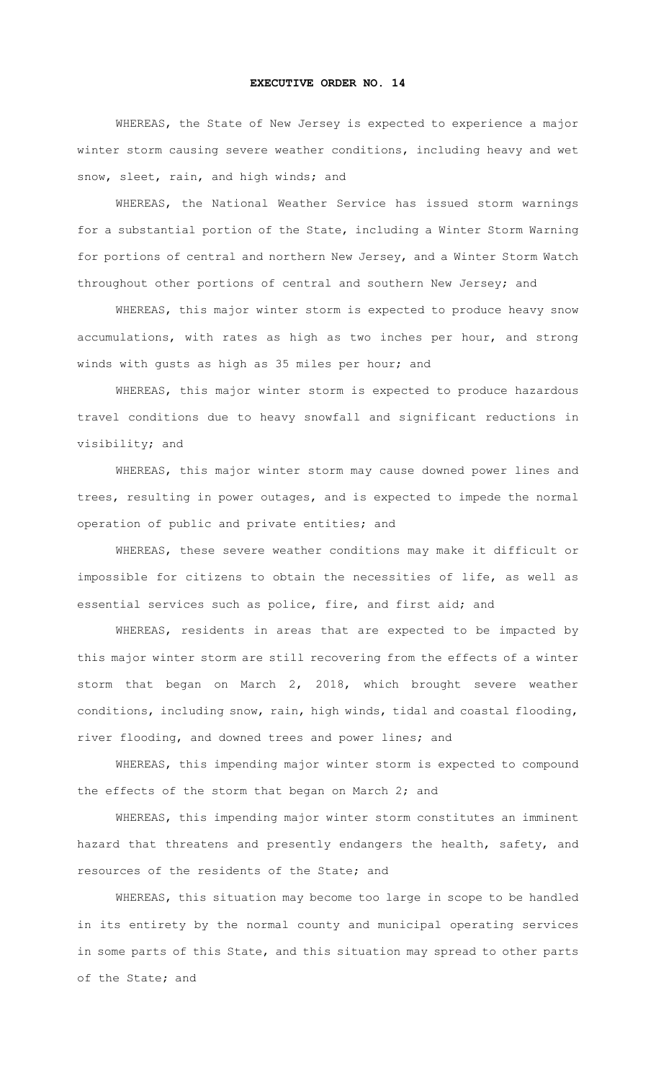## **EXECUTIVE ORDER NO. 14**

WHEREAS, the State of New Jersey is expected to experience a major winter storm causing severe weather conditions, including heavy and wet snow, sleet, rain, and high winds; and

WHEREAS, the National Weather Service has issued storm warnings for a substantial portion of the State, including a Winter Storm Warning for portions of central and northern New Jersey, and a Winter Storm Watch throughout other portions of central and southern New Jersey; and

WHEREAS, this major winter storm is expected to produce heavy snow accumulations, with rates as high as two inches per hour, and strong winds with gusts as high as 35 miles per hour; and

WHEREAS, this major winter storm is expected to produce hazardous travel conditions due to heavy snowfall and significant reductions in visibility; and

WHEREAS, this major winter storm may cause downed power lines and trees, resulting in power outages, and is expected to impede the normal operation of public and private entities; and

WHEREAS, these severe weather conditions may make it difficult or impossible for citizens to obtain the necessities of life, as well as essential services such as police, fire, and first aid; and

WHEREAS, residents in areas that are expected to be impacted by this major winter storm are still recovering from the effects of a winter storm that began on March 2, 2018, which brought severe weather conditions, including snow, rain, high winds, tidal and coastal flooding, river flooding, and downed trees and power lines; and

WHEREAS, this impending major winter storm is expected to compound the effects of the storm that began on March 2; and

WHEREAS, this impending major winter storm constitutes an imminent hazard that threatens and presently endangers the health, safety, and resources of the residents of the State; and

WHEREAS, this situation may become too large in scope to be handled in its entirety by the normal county and municipal operating services in some parts of this State, and this situation may spread to other parts of the State; and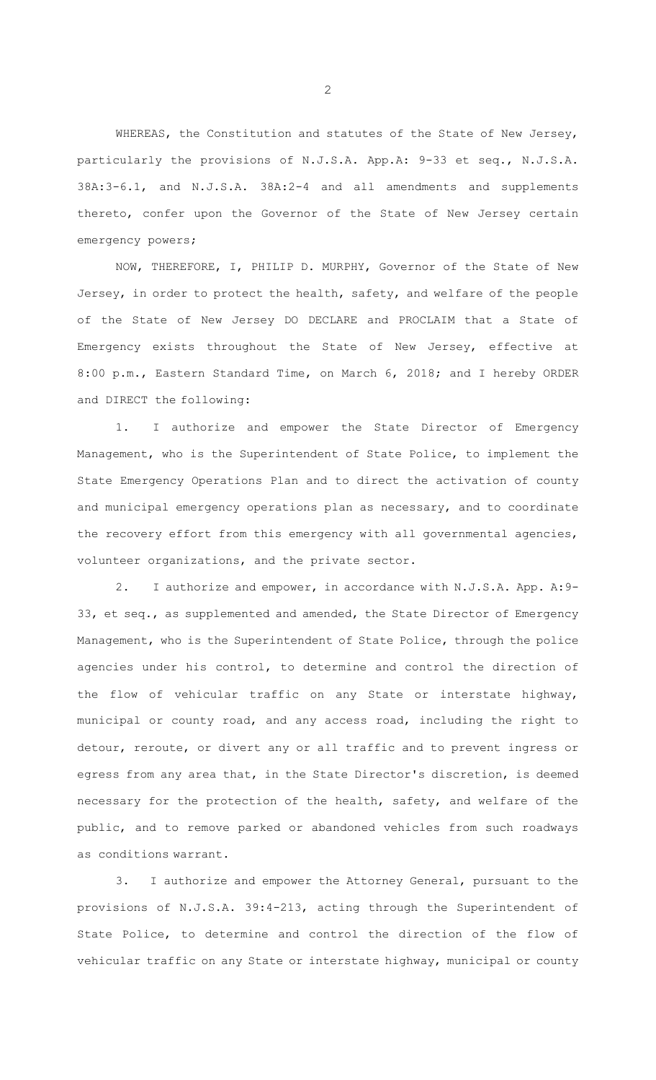WHEREAS, the Constitution and statutes of the State of New Jersey, particularly the provisions of N.J.S.A. App.A: 9-33 et seq., N.J.S.A. 38A:3-6.1, and N.J.S.A. 38A:2-4 and all amendments and supplements thereto, confer upon the Governor of the State of New Jersey certain emergency powers;

NOW, THEREFORE, I, PHILIP D. MURPHY, Governor of the State of New Jersey, in order to protect the health, safety, and welfare of the people of the State of New Jersey DO DECLARE and PROCLAIM that a State of Emergency exists throughout the State of New Jersey, effective at 8:00 p.m., Eastern Standard Time, on March 6, 2018; and I hereby ORDER and DIRECT the following:

1. I authorize and empower the State Director of Emergency Management, who is the Superintendent of State Police, to implement the State Emergency Operations Plan and to direct the activation of county and municipal emergency operations plan as necessary, and to coordinate the recovery effort from this emergency with all governmental agencies, volunteer organizations, and the private sector.

2. I authorize and empower, in accordance with N.J.S.A. App. A:9- 33, et seq., as supplemented and amended, the State Director of Emergency Management, who is the Superintendent of State Police, through the police agencies under his control, to determine and control the direction of the flow of vehicular traffic on any State or interstate highway, municipal or county road, and any access road, including the right to detour, reroute, or divert any or all traffic and to prevent ingress or egress from any area that, in the State Director's discretion, is deemed necessary for the protection of the health, safety, and welfare of the public, and to remove parked or abandoned vehicles from such roadways as conditions warrant.

3. I authorize and empower the Attorney General, pursuant to the provisions of N.J.S.A. 39:4-213, acting through the Superintendent of State Police, to determine and control the direction of the flow of vehicular traffic on any State or interstate highway, municipal or county

 $\mathcal{P}$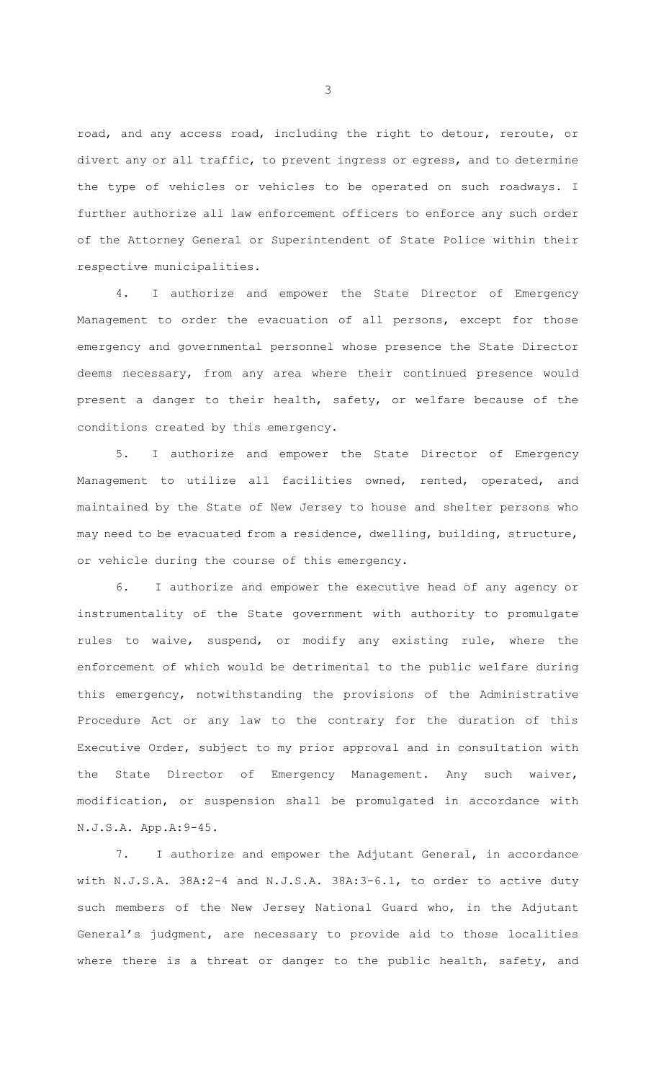road, and any access road, including the right to detour, reroute, or divert any or all traffic, to prevent ingress or egress, and to determine the type of vehicles or vehicles to be operated on such roadways. I further authorize all law enforcement officers to enforce any such order of the Attorney General or Superintendent of State Police within their respective municipalities.

4. I authorize and empower the State Director of Emergency Management to order the evacuation of all persons, except for those emergency and governmental personnel whose presence the State Director deems necessary, from any area where their continued presence would present a danger to their health, safety, or welfare because of the conditions created by this emergency.

5. I authorize and empower the State Director of Emergency Management to utilize all facilities owned, rented, operated, and maintained by the State of New Jersey to house and shelter persons who may need to be evacuated from a residence, dwelling, building, structure, or vehicle during the course of this emergency.

6. I authorize and empower the executive head of any agency or instrumentality of the State government with authority to promulgate rules to waive, suspend, or modify any existing rule, where the enforcement of which would be detrimental to the public welfare during this emergency, notwithstanding the provisions of the Administrative Procedure Act or any law to the contrary for the duration of this Executive Order, subject to my prior approval and in consultation with the State Director of Emergency Management. Any such waiver, modification, or suspension shall be promulgated in accordance with N.J.S.A. App.A:9-45.

7. I authorize and empower the Adjutant General, in accordance with N.J.S.A. 38A:2-4 and N.J.S.A. 38A:3-6.1, to order to active duty such members of the New Jersey National Guard who, in the Adjutant General's judgment, are necessary to provide aid to those localities where there is a threat or danger to the public health, safety, and

3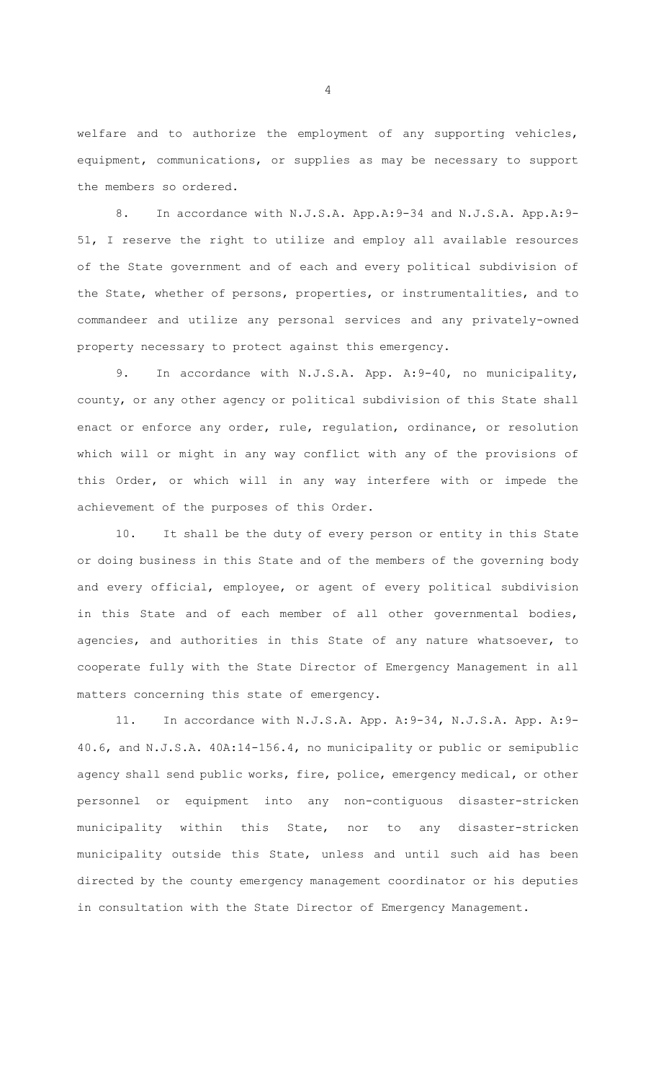welfare and to authorize the employment of any supporting vehicles, equipment, communications, or supplies as may be necessary to support the members so ordered.

8. In accordance with N.J.S.A. App.A:9-34 and N.J.S.A. App.A:9- 51, I reserve the right to utilize and employ all available resources of the State government and of each and every political subdivision of the State, whether of persons, properties, or instrumentalities, and to commandeer and utilize any personal services and any privately-owned property necessary to protect against this emergency.

9. In accordance with N.J.S.A. App. A: 9-40, no municipality, county, or any other agency or political subdivision of this State shall enact or enforce any order, rule, regulation, ordinance, or resolution which will or might in any way conflict with any of the provisions of this Order, or which will in any way interfere with or impede the achievement of the purposes of this Order.

10. It shall be the duty of every person or entity in this State or doing business in this State and of the members of the governing body and every official, employee, or agent of every political subdivision in this State and of each member of all other governmental bodies, agencies, and authorities in this State of any nature whatsoever, to cooperate fully with the State Director of Emergency Management in all matters concerning this state of emergency.

11. In accordance with N.J.S.A. App. A:9-34, N.J.S.A. App. A:9- 40.6, and N.J.S.A. 40A:14-156.4, no municipality or public or semipublic agency shall send public works, fire, police, emergency medical, or other personnel or equipment into any non-contiguous disaster-stricken municipality within this State, nor to any disaster-stricken municipality outside this State, unless and until such aid has been directed by the county emergency management coordinator or his deputies in consultation with the State Director of Emergency Management.

4